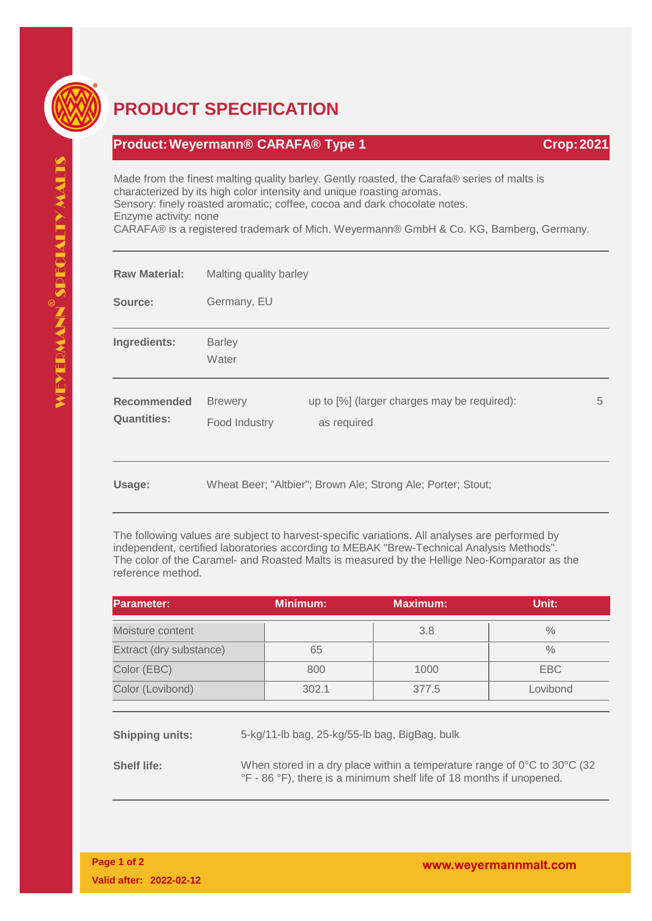

## **PRODUCT SPECIFICATION**

## **Product:Weyermann® CARAFA® Type 1 Crop:2021**

Made from the finest malting quality barley. Gently roasted, the Carafa® series of malts is characterized by its high color intensity and unique roasting aromas. Sensory: finely roasted aromatic; coffee, cocoa and dark chocolate notes. Enzyme activity: none

CARAFA® is a registered trademark of Mich. Weyermann® GmbH & Co. KG, Bamberg, Germany.

| <b>Raw Material:</b>                     | Malting quality barley                                       |                                                            |   |
|------------------------------------------|--------------------------------------------------------------|------------------------------------------------------------|---|
| Source:                                  | Germany, EU                                                  |                                                            |   |
| Ingredients:                             | <b>Barley</b><br>Water                                       |                                                            |   |
| <b>Recommended</b><br><b>Quantities:</b> | <b>Brewery</b><br>Food Industry                              | up to [%] (larger charges may be required):<br>as required | 5 |
| Usage:                                   | Wheat Beer; "Altbier"; Brown Ale; Strong Ale; Porter; Stout; |                                                            |   |

The following values are subject to harvest-specific variations. All analyses are performed by independent, certified laboratories according to MEBAK "Brew-Technical Analysis Methods". The color of the Caramel- and Roasted Malts is measured by the Hellige Neo-Komparator as the reference method.

| Parameter:              | <b>Minimum:</b> | Maximum: | Unit:         |
|-------------------------|-----------------|----------|---------------|
| Moisture content        |                 | 3.8      | $\frac{0}{0}$ |
| Extract (dry substance) | 65              |          | $\%$          |
| Color (EBC)             | 800             | 1000     | EBC           |
| Color (Lovibond)        | 302.1           | 377.5    | Lovibond      |

**Shipping units:** 5-kg/11-lb bag, 25-kg/55-lb bag, BigBag, bulk

**Shelf life:** When stored in a dry place within a temperature range of 0°C to 30°C (32 °F - 86 °F), there is a minimum shelf life of 18 months if unopened.